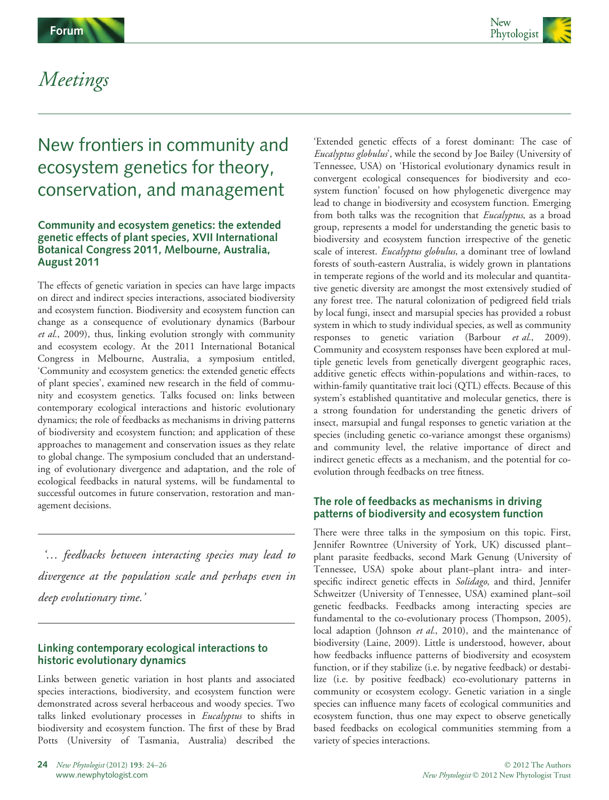

## Meetings

# New frontiers in community and ecosystem genetics for theory, conservation, and management

## Community and ecosystem genetics: the extended genetic effects of plant species, XVII International Botanical Congress 2011, Melbourne, Australia, August 2011

The effects of genetic variation in species can have large impacts on direct and indirect species interactions, associated biodiversity and ecosystem function. Biodiversity and ecosystem function can change as a consequence of evolutionary dynamics (Barbour et al., 2009), thus, linking evolution strongly with community and ecosystem ecology. At the 2011 International Botanical Congress in Melbourne, Australia, a symposium entitled, 'Community and ecosystem genetics: the extended genetic effects of plant species', examined new research in the field of community and ecosystem genetics. Talks focused on: links between contemporary ecological interactions and historic evolutionary dynamics; the role of feedbacks as mechanisms in driving patterns of biodiversity and ecosystem function; and application of these approaches to management and conservation issues as they relate to global change. The symposium concluded that an understanding of evolutionary divergence and adaptation, and the role of ecological feedbacks in natural systems, will be fundamental to successful outcomes in future conservation, restoration and management decisions.

'… feedbacks between interacting species may lead to divergence at the population scale and perhaps even in deep evolutionary time.'

## Linking contemporary ecological interactions to historic evolutionary dynamics

Links between genetic variation in host plants and associated species interactions, biodiversity, and ecosystem function were demonstrated across several herbaceous and woody species. Two talks linked evolutionary processes in Eucalyptus to shifts in biodiversity and ecosystem function. The first of these by Brad Potts (University of Tasmania, Australia) described the 'Extended genetic effects of a forest dominant: The case of Eucalyptus globulus', while the second by Joe Bailey (University of Tennessee, USA) on 'Historical evolutionary dynamics result in convergent ecological consequences for biodiversity and ecosystem function' focused on how phylogenetic divergence may lead to change in biodiversity and ecosystem function. Emerging from both talks was the recognition that *Eucalyptus*, as a broad group, represents a model for understanding the genetic basis to biodiversity and ecosystem function irrespective of the genetic scale of interest. Eucalyptus globulus, a dominant tree of lowland forests of south-eastern Australia, is widely grown in plantations in temperate regions of the world and its molecular and quantitative genetic diversity are amongst the most extensively studied of any forest tree. The natural colonization of pedigreed field trials by local fungi, insect and marsupial species has provided a robust system in which to study individual species, as well as community responses to genetic variation (Barbour et al., 2009). Community and ecosystem responses have been explored at multiple genetic levels from genetically divergent geographic races, additive genetic effects within-populations and within-races, to within-family quantitative trait loci (QTL) effects. Because of this system's established quantitative and molecular genetics, there is a strong foundation for understanding the genetic drivers of insect, marsupial and fungal responses to genetic variation at the species (including genetic co-variance amongst these organisms) and community level, the relative importance of direct and indirect genetic effects as a mechanism, and the potential for coevolution through feedbacks on tree fitness.

#### The role of feedbacks as mechanisms in driving patterns of biodiversity and ecosystem function

There were three talks in the symposium on this topic. First, Jennifer Rowntree (University of York, UK) discussed plant– plant parasite feedbacks, second Mark Genung (University of Tennessee, USA) spoke about plant–plant intra- and interspecific indirect genetic effects in Solidago, and third, Jennifer Schweitzer (University of Tennessee, USA) examined plant–soil genetic feedbacks. Feedbacks among interacting species are fundamental to the co-evolutionary process (Thompson, 2005), local adaption (Johnson et al., 2010), and the maintenance of biodiversity (Laine, 2009). Little is understood, however, about how feedbacks influence patterns of biodiversity and ecosystem function, or if they stabilize (i.e. by negative feedback) or destabilize (i.e. by positive feedback) eco-evolutionary patterns in community or ecosystem ecology. Genetic variation in a single species can influence many facets of ecological communities and ecosystem function, thus one may expect to observe genetically based feedbacks on ecological communities stemming from a variety of species interactions.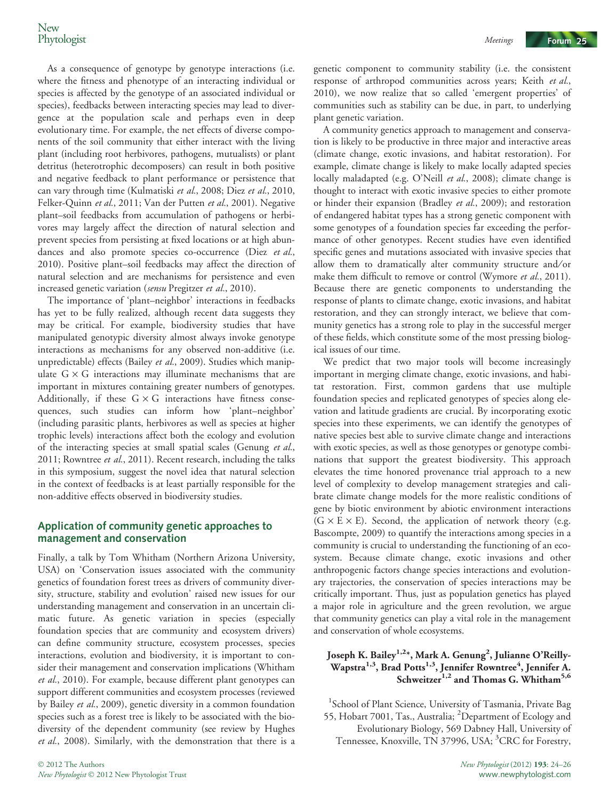As a consequence of genotype by genotype interactions (i.e. where the fitness and phenotype of an interacting individual or species is affected by the genotype of an associated individual or species), feedbacks between interacting species may lead to divergence at the population scale and perhaps even in deep evolutionary time. For example, the net effects of diverse components of the soil community that either interact with the living plant (including root herbivores, pathogens, mutualists) or plant detritus (heterotrophic decomposers) can result in both positive and negative feedback to plant performance or persistence that can vary through time (Kulmatiski et al., 2008; Diez et al., 2010, Felker-Quinn et al., 2011; Van der Putten et al., 2001). Negative plant–soil feedbacks from accumulation of pathogens or herbivores may largely affect the direction of natural selection and prevent species from persisting at fixed locations or at high abundances and also promote species co-occurrence (Diez et al., 2010). Positive plant–soil feedbacks may affect the direction of natural selection and are mechanisms for persistence and even increased genetic variation (sensu Pregitzer et al., 2010).

The importance of 'plant–neighbor' interactions in feedbacks has yet to be fully realized, although recent data suggests they may be critical. For example, biodiversity studies that have manipulated genotypic diversity almost always invoke genotype interactions as mechanisms for any observed non-additive (i.e. unpredictable) effects (Bailey et al., 2009). Studies which manipulate  $G \times G$  interactions may illuminate mechanisms that are important in mixtures containing greater numbers of genotypes. Additionally, if these  $G \times G$  interactions have fitness consequences, such studies can inform how 'plant–neighbor' (including parasitic plants, herbivores as well as species at higher trophic levels) interactions affect both the ecology and evolution of the interacting species at small spatial scales (Genung et al., 2011; Rowntree et al., 2011). Recent research, including the talks in this symposium, suggest the novel idea that natural selection in the context of feedbacks is at least partially responsible for the non-additive effects observed in biodiversity studies.

## Application of community genetic approaches to management and conservation

Finally, a talk by Tom Whitham (Northern Arizona University, USA) on 'Conservation issues associated with the community genetics of foundation forest trees as drivers of community diversity, structure, stability and evolution' raised new issues for our understanding management and conservation in an uncertain climatic future. As genetic variation in species (especially foundation species that are community and ecosystem drivers) can define community structure, ecosystem processes, species interactions, evolution and biodiversity, it is important to consider their management and conservation implications (Whitham et al., 2010). For example, because different plant genotypes can support different communities and ecosystem processes (reviewed by Bailey et al., 2009), genetic diversity in a common foundation species such as a forest tree is likely to be associated with the biodiversity of the dependent community (see review by Hughes et al., 2008). Similarly, with the demonstration that there is a

genetic component to community stability (i.e. the consistent response of arthropod communities across years; Keith et al., 2010), we now realize that so called 'emergent properties' of communities such as stability can be due, in part, to underlying plant genetic variation.

A community genetics approach to management and conservation is likely to be productive in three major and interactive areas (climate change, exotic invasions, and habitat restoration). For example, climate change is likely to make locally adapted species locally maladapted (e.g. O'Neill et al., 2008); climate change is thought to interact with exotic invasive species to either promote or hinder their expansion (Bradley et al., 2009); and restoration of endangered habitat types has a strong genetic component with some genotypes of a foundation species far exceeding the performance of other genotypes. Recent studies have even identified specific genes and mutations associated with invasive species that allow them to dramatically alter community structure and/or make them difficult to remove or control (Wymore et al., 2011). Because there are genetic components to understanding the response of plants to climate change, exotic invasions, and habitat restoration, and they can strongly interact, we believe that community genetics has a strong role to play in the successful merger of these fields, which constitute some of the most pressing biological issues of our time.

We predict that two major tools will become increasingly important in merging climate change, exotic invasions, and habitat restoration. First, common gardens that use multiple foundation species and replicated genotypes of species along elevation and latitude gradients are crucial. By incorporating exotic species into these experiments, we can identify the genotypes of native species best able to survive climate change and interactions with exotic species, as well as those genotypes or genotype combinations that support the greatest biodiversity. This approach elevates the time honored provenance trial approach to a new level of complexity to develop management strategies and calibrate climate change models for the more realistic conditions of gene by biotic environment by abiotic environment interactions  $(G \times E \times E)$ . Second, the application of network theory (e.g. Bascompte, 2009) to quantify the interactions among species in a community is crucial to understanding the functioning of an ecosystem. Because climate change, exotic invasions and other anthropogenic factors change species interactions and evolutionary trajectories, the conservation of species interactions may be critically important. Thus, just as population genetics has played a major role in agriculture and the green revolution, we argue that community genetics can play a vital role in the management and conservation of whole ecosystems.

## Joseph K. Bailey<sup>1,2</sup>\*, Mark A. Genung<sup>2</sup>, Julianne O'Reilly- $\text{Wapstra}^{1,3}, \text{Brad Potts}^{1,3}, \text{Jennifer Rowntree}^4, \text{Jennifer A}.$ Schweitzer<sup>1,2</sup> and Thomas G. Whitham<sup>5,6</sup>

<sup>1</sup>School of Plant Science, University of Tasmania, Private Bag 55, Hobart 7001, Tas., Australia; <sup>2</sup>Department of Ecology and Evolutionary Biology, 569 Dabney Hall, University of Tennessee, Knoxville, TN 37996, USA; <sup>3</sup>CRC for Forestry,